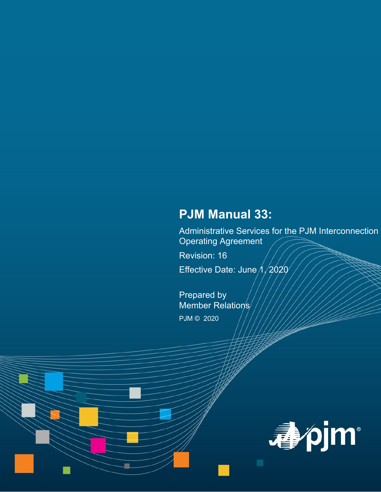# **PJM Manual 33:**

Administrative Services for the PJM Interconnection Operating Agreement

Revision: 16

Effective Date: June  $\frac{\Lambda}{2020}$ 

Prepared by Member Relations/ PJM © 2020

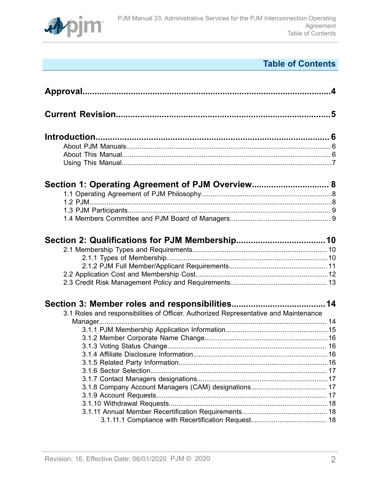

# **Table of Contents**

| Section 1: Operating Agreement of PJM Overview 8                                     |  |
|--------------------------------------------------------------------------------------|--|
|                                                                                      |  |
|                                                                                      |  |
|                                                                                      |  |
|                                                                                      |  |
|                                                                                      |  |
|                                                                                      |  |
|                                                                                      |  |
|                                                                                      |  |
| 3.1 Roles and responsibilities of Officer. Authorized Representative and Maintenance |  |
|                                                                                      |  |
|                                                                                      |  |
|                                                                                      |  |
|                                                                                      |  |
|                                                                                      |  |
|                                                                                      |  |
|                                                                                      |  |
|                                                                                      |  |
|                                                                                      |  |
|                                                                                      |  |
|                                                                                      |  |
|                                                                                      |  |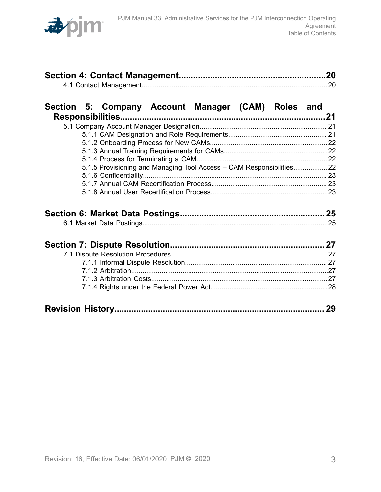

# **[Section 5: Company Account Manager \(CAM\) Roles and](#page-20-0)**

| 5.1.5 Provisioning and Managing Tool Access - CAM Responsibilities 22 |  |
|-----------------------------------------------------------------------|--|
|                                                                       |  |
|                                                                       |  |
|                                                                       |  |
|                                                                       |  |

|--|--|--|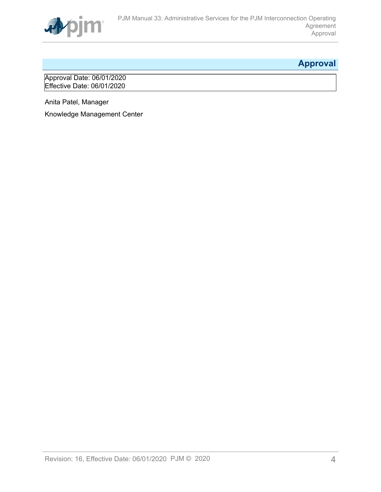

# <span id="page-3-0"></span>**Approval**

Approval Date: 06/01/2020 Effective Date: 06/01/2020

Anita Patel, Manager

Knowledge Management Center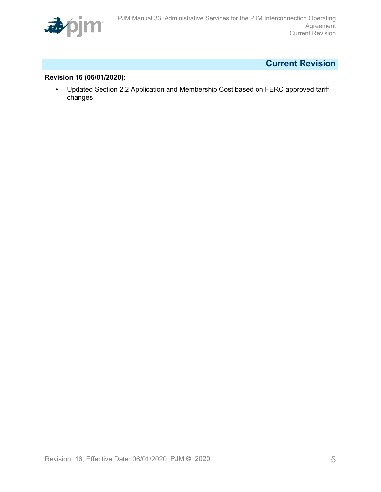

# <span id="page-4-0"></span>**Current Revision**

### **Revision 16 (06/01/2020):**

• Updated Section 2.2 Application and Membership Cost based on FERC approved tariff changes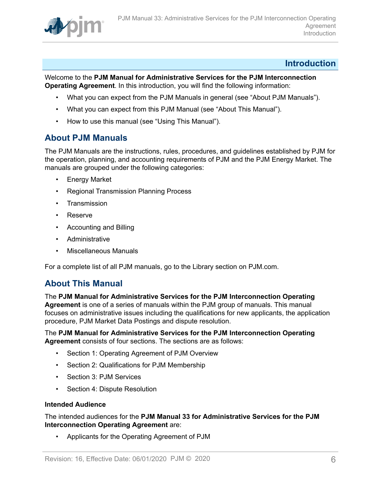

### <span id="page-5-0"></span>**Introduction**

Welcome to the **PJM Manual for Administrative Services for the PJM Interconnection Operating Agreement**. In this introduction, you will find the following information:

- What you can expect from the PJM Manuals in general (see "About PJM Manuals").
- What you can expect from this PJM Manual (see "About This Manual").
- How to use this manual (see "Using This Manual").

### <span id="page-5-1"></span>**About PJM Manuals**

The PJM Manuals are the instructions, rules, procedures, and guidelines established by PJM for the operation, planning, and accounting requirements of PJM and the PJM Energy Market. The manuals are grouped under the following categories:

- **Energy Market**
- Regional Transmission Planning Process
- Transmission
- Reserve
- Accounting and Billing
- Administrative
- Miscellaneous Manuals

For a complete list of all PJM manuals, go to the Library section on PJM.com.

# <span id="page-5-2"></span>**About This Manual**

The **PJM Manual for Administrative Services for the PJM Interconnection Operating Agreement** is one of a series of manuals within the PJM group of manuals. This manual focuses on administrative issues including the qualifications for new applicants, the application procedure, PJM Market Data Postings and dispute resolution.

### The **PJM Manual for Administrative Services for the PJM Interconnection Operating Agreement** consists of four sections. The sections are as follows:

- Section 1: Operating Agreement of PJM Overview
- Section 2: Qualifications for PJM Membership
- Section 3: PJM Services
- Section 4: Dispute Resolution

### **Intended Audience**

The intended audiences for the **PJM Manual 33 for Administrative Services for the PJM Interconnection Operating Agreement** are:

• Applicants for the Operating Agreement of PJM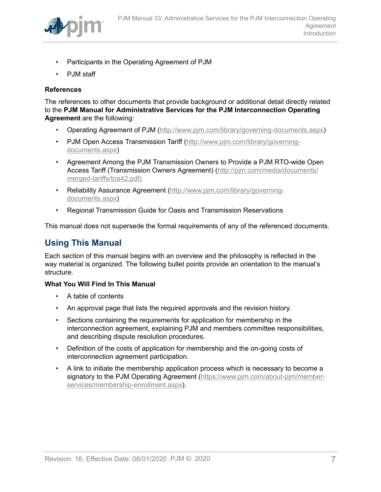

- Participants in the Operating Agreement of PJM
- PJM staff

### **References**

The references to other documents that provide background or additional detail directly related to the **PJM Manual for Administrative Services for the PJM Interconnection Operating Agreement** are the following:

- Operating Agreement of PJM (<http://www.pjm.com/library/governing-documents.aspx>)
- PJM Open Access Transmission Tariff ([http://www.pjm.com/library/governing](http://www.pjm.com/library/governing-documents.aspx)[documents.aspx\)](http://www.pjm.com/library/governing-documents.aspx)
- Agreement Among the PJM Transmission Owners to Provide a PJM RTO-wide Open Access Tariff (Transmission Owners Agreement) ([http://pjm.com/media/documents/](http://www.pjm.com/library/governing-documents.aspx) [merged-tariffs/toa42.pdf\)](http://www.pjm.com/library/governing-documents.aspx)
- Reliability Assurance Agreement [\(http://www.pjm.com/library/governing](http://www.pjm.com/library/governing-documents.aspx)[documents.aspx\)](http://www.pjm.com/library/governing-documents.aspx)
- Regional Transmission Guide for Oasis and Transmission Reservations

This manual does not supersede the formal requirements of any of the referenced documents.

# <span id="page-6-0"></span>**Using This Manual**

Each section of this manual begins with an overview and the philosophy is reflected in the way material is organized. The following bullet points provide an orientation to the manual's structure.

### **What You Will Find In This Manual**

- A table of contents
- An approval page that lists the required approvals and the revision history.
- Sections containing the requirements for application for membership in the interconnection agreement, explaining PJM and members committee responsibilities, and describing dispute resolution procedures.
- Definition of the costs of application for membership and the on-going costs of interconnection agreement participation.
- A link to initiate the membership application process which is necessary to become a signatory to the PJM Operating Agreement ([https://www.pjm.com/about-pjm/member](https://www.pjm.com/about-pjm/member-services/membership-enrollment.aspx)[services/membership-enrollment.aspx\)](https://www.pjm.com/about-pjm/member-services/membership-enrollment.aspx).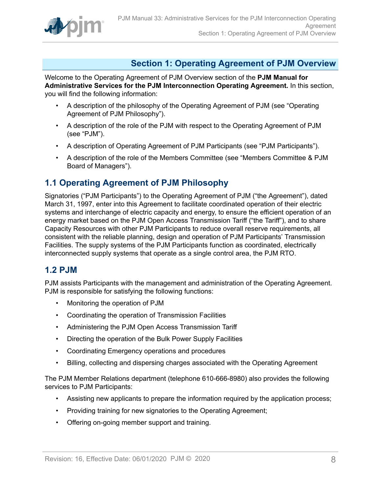

# <span id="page-7-0"></span>**Section 1: Operating Agreement of PJM Overview**

Welcome to the Operating Agreement of PJM Overview section of the **PJM Manual for Administrative Services for the PJM Interconnection Operating Agreement.** In this section, you will find the following information:

- A description of the philosophy of the Operating Agreement of PJM (see "Operating Agreement of PJM Philosophy").
- A description of the role of the PJM with respect to the Operating Agreement of PJM (see "PJM").
- A description of Operating Agreement of PJM Participants (see "PJM Participants").
- A description of the role of the Members Committee (see "Members Committee & PJM Board of Managers").

# <span id="page-7-1"></span>**1.1 Operating Agreement of PJM Philosophy**

Signatories ("PJM Participants") to the Operating Agreement of PJM ("the Agreement"), dated March 31, 1997, enter into this Agreement to facilitate coordinated operation of their electric systems and interchange of electric capacity and energy, to ensure the efficient operation of an energy market based on the PJM Open Access Transmission Tariff ("the Tariff"), and to share Capacity Resources with other PJM Participants to reduce overall reserve requirements, all consistent with the reliable planning, design and operation of PJM Participants' Transmission Facilities. The supply systems of the PJM Participants function as coordinated, electrically interconnected supply systems that operate as a single control area, the PJM RTO.

# <span id="page-7-2"></span>**1.2 PJM**

PJM assists Participants with the management and administration of the Operating Agreement. PJM is responsible for satisfying the following functions:

- Monitoring the operation of PJM
- Coordinating the operation of Transmission Facilities
- Administering the PJM Open Access Transmission Tariff
- Directing the operation of the Bulk Power Supply Facilities
- Coordinating Emergency operations and procedures
- Billing, collecting and dispersing charges associated with the Operating Agreement

The PJM Member Relations department (telephone 610-666-8980) also provides the following services to PJM Participants:

- Assisting new applicants to prepare the information required by the application process;
- Providing training for new signatories to the Operating Agreement;
- Offering on-going member support and training.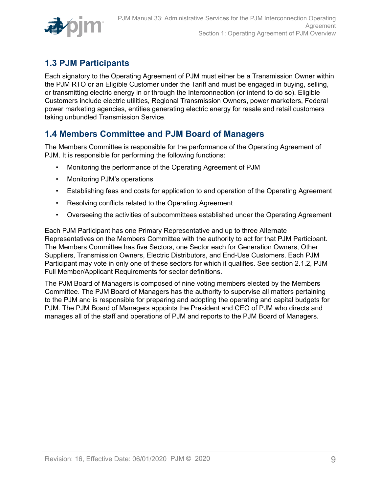

# <span id="page-8-0"></span>**1.3 PJM Participants**

Each signatory to the Operating Agreement of PJM must either be a Transmission Owner within the PJM RTO or an Eligible Customer under the Tariff and must be engaged in buying, selling, or transmitting electric energy in or through the Interconnection (or intend to do so). Eligible Customers include electric utilities, Regional Transmission Owners, power marketers, Federal power marketing agencies, entities generating electric energy for resale and retail customers taking unbundled Transmission Service.

# <span id="page-8-1"></span>**1.4 Members Committee and PJM Board of Managers**

The Members Committee is responsible for the performance of the Operating Agreement of PJM. It is responsible for performing the following functions:

- Monitoring the performance of the Operating Agreement of PJM
- Monitoring PJM's operations
- Establishing fees and costs for application to and operation of the Operating Agreement
- Resolving conflicts related to the Operating Agreement
- Overseeing the activities of subcommittees established under the Operating Agreement

Each PJM Participant has one Primary Representative and up to three Alternate Representatives on the Members Committee with the authority to act for that PJM Participant. The Members Committee has five Sectors, one Sector each for Generation Owners, Other Suppliers, Transmission Owners, Electric Distributors, and End-Use Customers. Each PJM Participant may vote in only one of these sectors for which it qualifies. See section 2.1.2, PJM Full Member/Applicant Requirements for sector definitions.

The PJM Board of Managers is composed of nine voting members elected by the Members Committee. The PJM Board of Managers has the authority to supervise all matters pertaining to the PJM and is responsible for preparing and adopting the operating and capital budgets for PJM. The PJM Board of Managers appoints the President and CEO of PJM who directs and manages all of the staff and operations of PJM and reports to the PJM Board of Managers.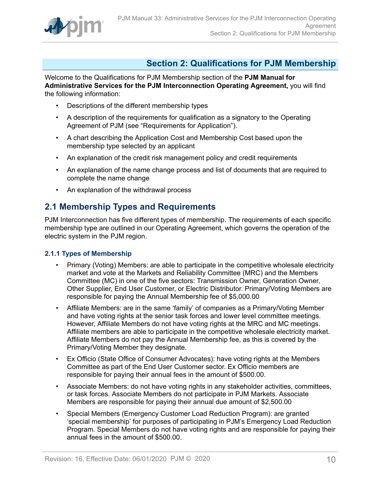

# <span id="page-9-0"></span>**Section 2: Qualifications for PJM Membership**

Welcome to the Qualifications for PJM Membership section of the **PJM Manual for Administrative Services for the PJM Interconnection Operating Agreement,** you will find the following information:

- Descriptions of the different membership types
- A description of the requirements for qualification as a signatory to the Operating Agreement of PJM (see "Requirements for Application").
- A chart describing the Application Cost and Membership Cost based upon the membership type selected by an applicant
- An explanation of the credit risk management policy and credit requirements
- An explanation of the name change process and list of documents that are required to complete the name change
- An explanation of the withdrawal process

# <span id="page-9-1"></span>**2.1 Membership Types and Requirements**

PJM Interconnection has five different types of membership. The requirements of each specific membership type are outlined in our Operating Agreement, which governs the operation of the electric system in the PJM region.

### <span id="page-9-2"></span>**2.1.1 Types of Membership**

- Primary (Voting) Members: are able to participate in the competitive wholesale electricity market and vote at the Markets and Reliability Committee (MRC) and the Members Committee (MC) in one of the five sectors: Transmission Owner, Generation Owner, Other Supplier, End User Customer, or Electric Distributor. Primary/Voting Members are responsible for paying the Annual Membership fee of \$5,000.00
- Affiliate Members: are in the same 'family' of companies as a Primary/Voting Member and have voting rights at the senior task forces and lower level committee meetings. However, Affiliate Members do not have voting rights at the MRC and MC meetings. Affiliate members are able to participate in the competitive wholesale electricity market. Affiliate Members do not pay the Annual Membership fee, as this is covered by the Primary/Voting Member they designate.
- Ex Officio (State Office of Consumer Advocates): have voting rights at the Members Committee as part of the End User Customer sector. Ex Officio members are responsible for paying their annual fees in the amount of \$500.00.
- Associate Members: do not have voting rights in any stakeholder activities, committees, or task forces. Associate Members do not participate in PJM Markets. Associate Members are responsible for paying their annual due amount of \$2,500.00
- Special Members (Emergency Customer Load Reduction Program): are granted 'special membership' for purposes of participating in PJM's Emergency Load Reduction Program. Special Members do not have voting rights and are responsible for paying their annual fees in the amount of \$500.00.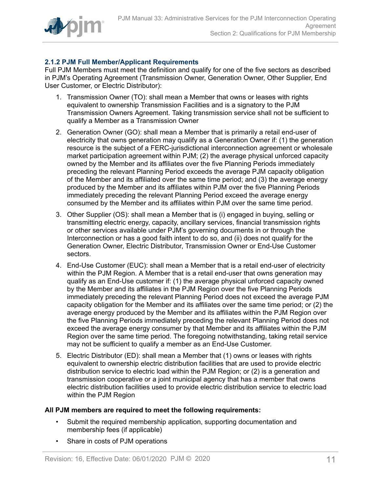

### <span id="page-10-0"></span>**2.1.2 PJM Full Member/Applicant Requirements**

Full PJM Members must meet the definition and qualify for one of the five sectors as described in PJM's Operating Agreement (Transmission Owner, Generation Owner, Other Supplier, End User Customer, or Electric Distributor):

- 1. Transmission Owner (TO): shall mean a Member that owns or leases with rights equivalent to ownership Transmission Facilities and is a signatory to the PJM Transmission Owners Agreement. Taking transmission service shall not be sufficient to qualify a Member as a Transmission Owner
- 2. Generation Owner (GO): shall mean a Member that is primarily a retail end-user of electricity that owns generation may qualify as a Generation Owner if: (1) the generation resource is the subject of a FERC-jurisdictional interconnection agreement or wholesale market participation agreement within PJM; (2) the average physical unforced capacity owned by the Member and its affiliates over the five Planning Periods immediately preceding the relevant Planning Period exceeds the average PJM capacity obligation of the Member and its affiliated over the same time period; and (3) the average energy produced by the Member and its affiliates within PJM over the five Planning Periods immediately preceding the relevant Planning Period exceed the average energy consumed by the Member and its affiliates within PJM over the same time period.
- 3. Other Supplier (OS): shall mean a Member that is (i) engaged in buying, selling or transmitting electric energy, capacity, ancillary services, financial transmission rights or other services available under PJM's governing documents in or through the Interconnection or has a good faith intent to do so, and (ii) does not qualify for the Generation Owner, Electric Distributor, Transmission Owner or End-Use Customer sectors.
- 4. End-Use Customer (EUC): shall mean a Member that is a retail end-user of electricity within the PJM Region. A Member that is a retail end-user that owns generation may qualify as an End-Use customer if: (1) the average physical unforced capacity owned by the Member and its affiliates in the PJM Region over the five Planning Periods immediately preceding the relevant Planning Period does not exceed the average PJM capacity obligation for the Member and its affiliates over the same time period; or (2) the average energy produced by the Member and its affiliates within the PJM Region over the five Planning Periods immediately preceding the relevant Planning Period does not exceed the average energy consumer by that Member and its affiliates within the PJM Region over the same time period. The foregoing notwithstanding, taking retail service may not be sufficient to qualify a member as an End-Use Customer.
- 5. Electric Distributor (ED): shall mean a Member that (1) owns or leases with rights equivalent to ownership electric distribution facilities that are used to provide electric distribution service to electric load within the PJM Region; or (2) is a generation and transmission cooperative or a joint municipal agency that has a member that owns electric distribution facilities used to provide electric distribution service to electric load within the PJM Region

### **All PJM members are required to meet the following requirements:**

- Submit the required membership application, supporting documentation and membership fees (if applicable)
- Share in costs of PJM operations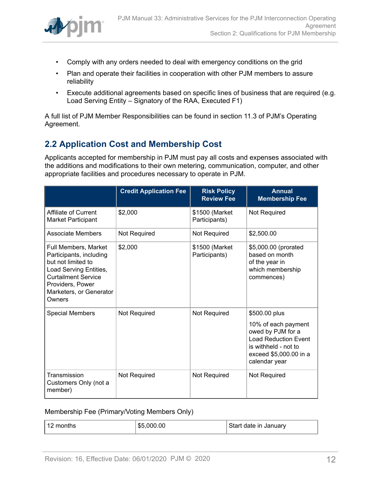

- Comply with any orders needed to deal with emergency conditions on the grid
- Plan and operate their facilities in cooperation with other PJM members to assure reliability
- Execute additional agreements based on specific lines of business that are required (e.g. Load Serving Entity – Signatory of the RAA, Executed F1)

A full list of PJM Member Responsibilities can be found in section 11.3 of PJM's Operating Agreement.

# <span id="page-11-0"></span>**2.2 Application Cost and Membership Cost**

Applicants accepted for membership in PJM must pay all costs and expenses associated with the additions and modifications to their own metering, communication, computer, and other appropriate facilities and procedures necessary to operate in PJM.

|                                                                                                                                                                                        | <b>Credit Application Fee</b> | <b>Risk Policy</b><br><b>Review Fee</b> | <b>Annual</b><br><b>Membership Fee</b>                                                                                                                      |
|----------------------------------------------------------------------------------------------------------------------------------------------------------------------------------------|-------------------------------|-----------------------------------------|-------------------------------------------------------------------------------------------------------------------------------------------------------------|
| Affiliate of Current<br><b>Market Participant</b>                                                                                                                                      | \$2,000                       | \$1500 (Market<br>Participants)         | Not Required                                                                                                                                                |
| Associate Members                                                                                                                                                                      | Not Required                  | Not Required                            | \$2,500.00                                                                                                                                                  |
| Full Members, Market<br>Participants, including<br>but not limited to<br>Load Serving Entities,<br><b>Curtailment Service</b><br>Providers, Power<br>Marketers, or Generator<br>Owners | \$2,000                       | \$1500 (Market<br>Participants)         | \$5,000.00 (prorated<br>based on month<br>of the year in<br>which membership<br>commences)                                                                  |
| <b>Special Members</b>                                                                                                                                                                 | <b>Not Required</b>           | <b>Not Required</b>                     | \$500.00 plus<br>10% of each payment<br>owed by PJM for a<br><b>Load Reduction Event</b><br>is withheld - not to<br>exceed \$5,000.00 in a<br>calendar year |
| Transmission<br>Customers Only (not a<br>member)                                                                                                                                       | Not Required                  | Not Required                            | Not Required                                                                                                                                                |

### Membership Fee (Primary/Voting Members Only)

| 12 months | \$5,000.00 | Start date in January |
|-----------|------------|-----------------------|
|           |            |                       |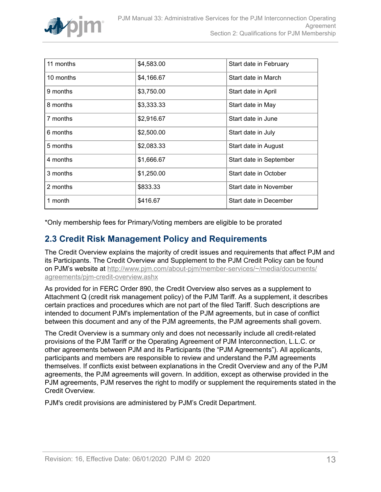

| 11 months | \$4,583.00 |                         |
|-----------|------------|-------------------------|
|           |            | Start date in February  |
| 10 months | \$4,166.67 | Start date in March     |
|           |            |                         |
| 9 months  | \$3,750.00 | Start date in April     |
| 8 months  | \$3,333.33 | Start date in May       |
|           |            |                         |
| 7 months  | \$2,916.67 | Start date in June      |
| 6 months  | \$2,500.00 | Start date in July      |
|           |            |                         |
| 5 months  | \$2,083.33 | Start date in August    |
| 4 months  | \$1,666.67 | Start date in September |
|           |            |                         |
| 3 months  | \$1,250.00 | Start date in October   |
|           |            |                         |
| 2 months  | \$833.33   | Start date in November  |
| 1 month   |            |                         |
|           | \$416.67   | Start date in December  |

\*Only membership fees for Primary/Voting members are eligible to be prorated

# <span id="page-12-0"></span>**2.3 Credit Risk Management Policy and Requirements**

The Credit Overview explains the majority of credit issues and requirements that affect PJM and its Participants. The Credit Overview and Supplement to the PJM Credit Policy can be found on PJM's website at [http://www.pjm.com/about-pjm/member-services/~/media/documents/](http://www.pjm.com/about-pjm/member-services/~/media/documents/agreements/pjm-credit-overview.ashx) [agreements/pjm-credit-overview.ashx](http://www.pjm.com/about-pjm/member-services/~/media/documents/agreements/pjm-credit-overview.ashx)

As provided for in FERC Order 890, the Credit Overview also serves as a supplement to Attachment Q (credit risk management policy) of the PJM Tariff. As a supplement, it describes certain practices and procedures which are not part of the filed Tariff. Such descriptions are intended to document PJM's implementation of the PJM agreements, but in case of conflict between this document and any of the PJM agreements, the PJM agreements shall govern.

The Credit Overview is a summary only and does not necessarily include all credit-related provisions of the PJM Tariff or the Operating Agreement of PJM Interconnection, L.L.C. or other agreements between PJM and its Participants (the "PJM Agreements"). All applicants, participants and members are responsible to review and understand the PJM agreements themselves. If conflicts exist between explanations in the Credit Overview and any of the PJM agreements, the PJM agreements will govern. In addition, except as otherwise provided in the PJM agreements, PJM reserves the right to modify or supplement the requirements stated in the Credit Overview.

PJM's credit provisions are administered by PJM's Credit Department.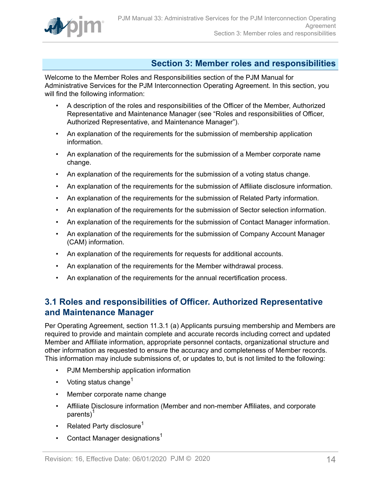

# <span id="page-13-0"></span>**Section 3: Member roles and responsibilities**

Welcome to the Member Roles and Responsibilities section of the PJM Manual for Administrative Services for the PJM Interconnection Operating Agreement. In this section, you will find the following information:

- A description of the roles and responsibilities of the Officer of the Member, Authorized Representative and Maintenance Manager (see "Roles and responsibilities of Officer, Authorized Representative, and Maintenance Manager").
- An explanation of the requirements for the submission of membership application information.
- An explanation of the requirements for the submission of a Member corporate name change.
- An explanation of the requirements for the submission of a voting status change.
- An explanation of the requirements for the submission of Affiliate disclosure information.
- An explanation of the requirements for the submission of Related Party information.
- An explanation of the requirements for the submission of Sector selection information.
- An explanation of the requirements for the submission of Contact Manager information.
- An explanation of the requirements for the submission of Company Account Manager (CAM) information.
- An explanation of the requirements for requests for additional accounts.
- An explanation of the requirements for the Member withdrawal process.
- An explanation of the requirements for the annual recertification process.

# <span id="page-13-1"></span>**3.1 Roles and responsibilities of Officer. Authorized Representative and Maintenance Manager**

Per Operating Agreement, section 11.3.1 (a) Applicants pursuing membership and Members are required to provide and maintain complete and accurate records including correct and updated Member and Affiliate information, appropriate personnel contacts, organizational structure and other information as requested to ensure the accuracy and completeness of Member records. This information may include submissions of, or updates to, but is not limited to the following:

- PJM Membership application information
- Voting status change<sup>1</sup>
- Member corporate name change
- Affiliate Disclosure information (Member and non-member Affiliates, and corporate parents)<sup>1</sup>
- Related Party disclosure<sup>1</sup>
- Contact Manager designations<sup>1</sup>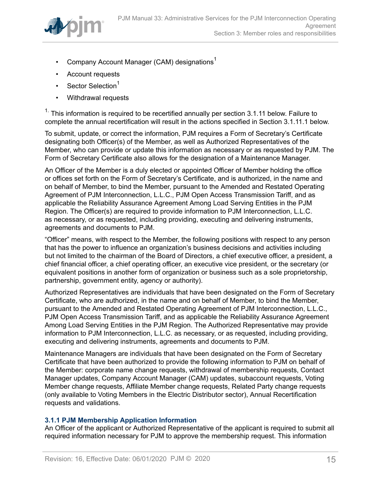

- Company Account Manager (CAM) designations<sup>1</sup>
- Account requests
- Sector Selection<sup>1</sup>
- Withdrawal requests

 $1.$  This information is required to be recertified annually per section 3.1.11 below. Failure to complete the annual recertification will result in the actions specified in Section 3.1.11.1 below.

To submit, update, or correct the information, PJM requires a Form of Secretary's Certificate designating both Officer(s) of the Member, as well as Authorized Representatives of the Member, who can provide or update this information as necessary or as requested by PJM. The Form of Secretary Certificate also allows for the designation of a Maintenance Manager.

An Officer of the Member is a duly elected or appointed Officer of Member holding the office or offices set forth on the Form of Secretary's Certificate, and is authorized, in the name and on behalf of Member, to bind the Member, pursuant to the Amended and Restated Operating Agreement of PJM Interconnection, L.L.C., PJM Open Access Transmission Tariff, and as applicable the Reliability Assurance Agreement Among Load Serving Entities in the PJM Region. The Officer(s) are required to provide information to PJM Interconnection, L.L.C. as necessary, or as requested, including providing, executing and delivering instruments, agreements and documents to PJM.

"Officer" means, with respect to the Member, the following positions with respect to any person that has the power to influence an organization's business decisions and activities including but not limited to the chairman of the Board of Directors, a chief executive officer, a president, a chief financial officer, a chief operating officer, an executive vice president, or the secretary (or equivalent positions in another form of organization or business such as a sole proprietorship, partnership, government entity, agency or authority).

Authorized Representatives are individuals that have been designated on the Form of Secretary Certificate, who are authorized, in the name and on behalf of Member, to bind the Member, pursuant to the Amended and Restated Operating Agreement of PJM Interconnection, L.L.C., PJM Open Access Transmission Tariff, and as applicable the Reliability Assurance Agreement Among Load Serving Entities in the PJM Region. The Authorized Representative may provide information to PJM Interconnection, L.L.C. as necessary, or as requested, including providing, executing and delivering instruments, agreements and documents to PJM.

Maintenance Managers are individuals that have been designated on the Form of Secretary Certificate that have been authorized to provide the following information to PJM on behalf of the Member: corporate name change requests, withdrawal of membership requests, Contact Manager updates, Company Account Manager (CAM) updates, subaccount requests, Voting Member change requests, Affiliate Member change requests, Related Party change requests (only available to Voting Members in the Electric Distributor sector), Annual Recertification requests and validations.

### <span id="page-14-0"></span>**3.1.1 PJM Membership Application Information**

An Officer of the applicant or Authorized Representative of the applicant is required to submit all required information necessary for PJM to approve the membership request. This information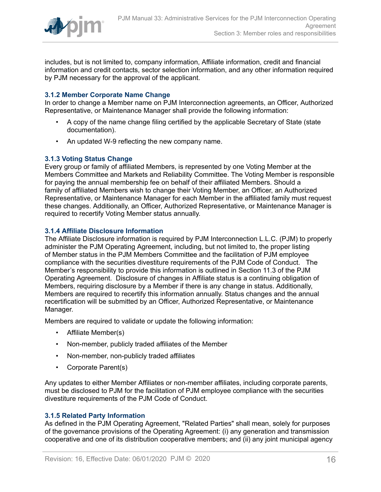

includes, but is not limited to, company information, Affiliate information, credit and financial information and credit contacts, sector selection information, and any other information required by PJM necessary for the approval of the applicant.

### <span id="page-15-0"></span>**3.1.2 Member Corporate Name Change**

In order to change a Member name on PJM Interconnection agreements, an Officer, Authorized Representative, or Maintenance Manager shall provide the following information:

- A copy of the name change filing certified by the applicable Secretary of State (state documentation).
- An updated W-9 reflecting the new company name.

### <span id="page-15-1"></span>**3.1.3 Voting Status Change**

Every group or family of affiliated Members, is represented by one Voting Member at the Members Committee and Markets and Reliability Committee. The Voting Member is responsible for paying the annual membership fee on behalf of their affiliated Members. Should a family of affiliated Members wish to change their Voting Member, an Officer, an Authorized Representative, or Maintenance Manager for each Member in the affiliated family must request these changes. Additionally, an Officer, Authorized Representative, or Maintenance Manager is required to recertify Voting Member status annually.

### <span id="page-15-2"></span>**3.1.4 Affiliate Disclosure Information**

The Affiliate Disclosure information is required by PJM Interconnection L.L.C. (PJM) to properly administer the PJM Operating Agreement, including, but not limited to, the proper listing of Member status in the PJM Members Committee and the facilitation of PJM employee compliance with the securities divestiture requirements of the PJM Code of Conduct. The Member's responsibility to provide this information is outlined in Section 11.3 of the PJM Operating Agreement. Disclosure of changes in Affiliate status is a continuing obligation of Members, requiring disclosure by a Member if there is any change in status. Additionally, Members are required to recertify this information annually. Status changes and the annual recertification will be submitted by an Officer, Authorized Representative, or Maintenance Manager.

Members are required to validate or update the following information:

- Affiliate Member(s)
- Non-member, publicly traded affiliates of the Member
- Non-member, non-publicly traded affiliates
- Corporate Parent(s)

Any updates to either Member Affiliates or non-member affiliates, including corporate parents, must be disclosed to PJM for the facilitation of PJM employee compliance with the securities divestiture requirements of the PJM Code of Conduct.

### <span id="page-15-3"></span>**3.1.5 Related Party Information**

As defined in the PJM Operating Agreement, "Related Parties" shall mean, solely for purposes of the governance provisions of the Operating Agreement: (i) any generation and transmission cooperative and one of its distribution cooperative members; and (ii) any joint municipal agency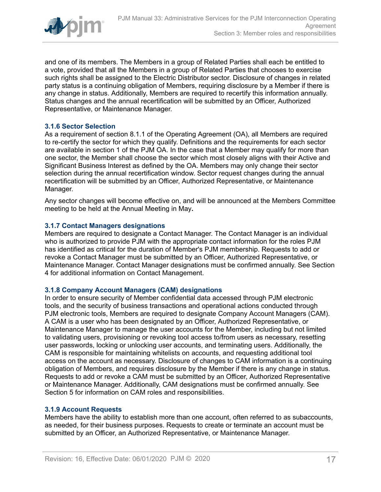

and one of its members. The Members in a group of Related Parties shall each be entitled to a vote, provided that all the Members in a group of Related Parties that chooses to exercise such rights shall be assigned to the Electric Distributor sector. Disclosure of changes in related party status is a continuing obligation of Members, requiring disclosure by a Member if there is any change in status. Additionally, Members are required to recertify this information annually. Status changes and the annual recertification will be submitted by an Officer, Authorized Representative, or Maintenance Manager.

### <span id="page-16-0"></span>**3.1.6 Sector Selection**

As a requirement of section 8.1.1 of the Operating Agreement (OA), all Members are required to re-certify the sector for which they qualify. Definitions and the requirements for each sector are available in section 1 of the PJM OA. In the case that a Member may qualify for more than one sector, the Member shall choose the sector which most closely aligns with their Active and Significant Business Interest as defined by the OA. Members may only change their sector selection during the annual recertification window. Sector request changes during the annual recertification will be submitted by an Officer, Authorized Representative, or Maintenance Manager.

Any sector changes will become effective on, and will be announced at the Members Committee meeting to be held at the Annual Meeting in May**.**

### <span id="page-16-1"></span>**3.1.7 Contact Managers designations**

Members are required to designate a Contact Manager. The Contact Manager is an individual who is authorized to provide PJM with the appropriate contact information for the roles PJM has identified as critical for the duration of Member's PJM membership. Requests to add or revoke a Contact Manager must be submitted by an Officer, Authorized Representative, or Maintenance Manager. Contact Manager designations must be confirmed annually. See Section 4 for additional information on Contact Management.

### <span id="page-16-2"></span>**3.1.8 Company Account Managers (CAM) designations**

In order to ensure security of Member confidential data accessed through PJM electronic tools, and the security of business transactions and operational actions conducted through PJM electronic tools, Members are required to designate Company Account Managers (CAM). A CAM is a user who has been designated by an Officer, Authorized Representative, or Maintenance Manager to manage the user accounts for the Member, including but not limited to validating users, provisioning or revoking tool access to/from users as necessary, resetting user passwords, locking or unlocking user accounts, and terminating users. Additionally, the CAM is responsible for maintaining whitelists on accounts, and requesting additional tool access on the account as necessary. Disclosure of changes to CAM information is a continuing obligation of Members, and requires disclosure by the Member if there is any change in status. Requests to add or revoke a CAM must be submitted by an Officer, Authorized Representative or Maintenance Manager. Additionally, CAM designations must be confirmed annually. See Section 5 for information on CAM roles and responsibilities.

### <span id="page-16-3"></span>**3.1.9 Account Requests**

Members have the ability to establish more than one account, often referred to as subaccounts, as needed, for their business purposes. Requests to create or terminate an account must be submitted by an Officer, an Authorized Representative, or Maintenance Manager.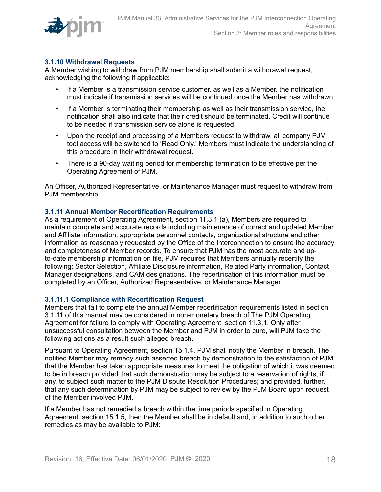

### <span id="page-17-0"></span>**3.1.10 Withdrawal Requests**

A Member wishing to withdraw from PJM membership shall submit a withdrawal request, acknowledging the following if applicable:

- If a Member is a transmission service customer, as well as a Member, the notification must indicate if transmission services will be continued once the Member has withdrawn.
- If a Member is terminating their membership as well as their transmission service, the notification shall also indicate that their credit should be terminated. Credit will continue to be needed if transmission service alone is requested.
- Upon the receipt and processing of a Members request to withdraw, all company PJM tool access will be switched to 'Read Only.' Members must indicate the understanding of this procedure in their withdrawal request.
- There is a 90-day waiting period for membership termination to be effective per the Operating Agreement of PJM.

An Officer, Authorized Representative, or Maintenance Manager must request to withdraw from PJM membership

### <span id="page-17-1"></span>**3.1.11 Annual Member Recertification Requirements**

As a requirement of Operating Agreement, section 11.3.1 (a), Members are required to maintain complete and accurate records including maintenance of correct and updated Member and Affiliate information, appropriate personnel contacts, organizational structure and other information as reasonably requested by the Office of the Interconnection to ensure the accuracy and completeness of Member records. To ensure that PJM has the most accurate and upto-date membership information on file, PJM requires that Members annually recertify the following: Sector Selection, Affiliate Disclosure information, Related Party information, Contact Manager designations, and CAM designations. The recertification of this information must be completed by an Officer, Authorized Representative, or Maintenance Manager.

### <span id="page-17-2"></span>**3.1.11.1 Compliance with Recertification Request**

Members that fail to complete the annual Member recertification requirements listed in section 3.1.11 of this manual may be considered in non-monetary breach of The PJM Operating Agreement for failure to comply with Operating Agreement, section 11.3.1. Only after unsuccessful consultation between the Member and PJM in order to cure, will PJM take the following actions as a result such alleged breach.

Pursuant to Operating Agreement, section 15.1.4, PJM shall notify the Member in breach. The notified Member may remedy such asserted breach by demonstration to the satisfaction of PJM that the Member has taken appropriate measures to meet the obligation of which it was deemed to be in breach provided that such demonstration may be subject to a reservation of rights, if any, to subject such matter to the PJM Dispute Resolution Procedures; and provided, further, that any such determination by PJM may be subject to review by the PJM Board upon request of the Member involved PJM.

If a Member has not remedied a breach within the time periods specified in Operating Agreement, section 15.1.5, then the Member shall be in default and, in addition to such other remedies as may be available to PJM: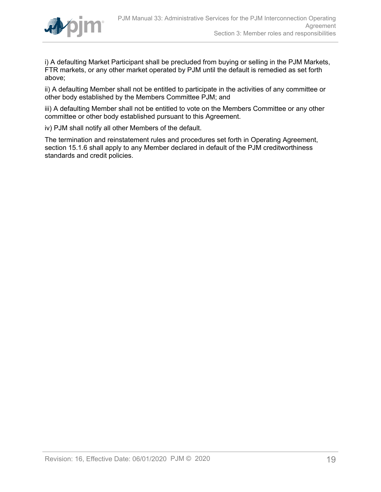

i) A defaulting Market Participant shall be precluded from buying or selling in the PJM Markets, FTR markets, or any other market operated by PJM until the default is remedied as set forth above;

ii) A defaulting Member shall not be entitled to participate in the activities of any committee or other body established by the Members Committee PJM; and

iii) A defaulting Member shall not be entitled to vote on the Members Committee or any other committee or other body established pursuant to this Agreement.

iv) PJM shall notify all other Members of the default.

The termination and reinstatement rules and procedures set forth in Operating Agreement, section 15.1.6 shall apply to any Member declared in default of the PJM creditworthiness standards and credit policies.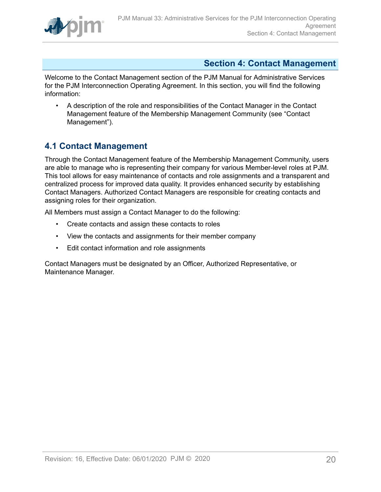

# <span id="page-19-0"></span>**Section 4: Contact Management**

Welcome to the Contact Management section of the PJM Manual for Administrative Services for the PJM Interconnection Operating Agreement. In this section, you will find the following information:

• A description of the role and responsibilities of the Contact Manager in the Contact Management feature of the Membership Management Community (see "Contact Management").

# <span id="page-19-1"></span>**4.1 Contact Management**

Through the Contact Management feature of the Membership Management Community, users are able to manage who is representing their company for various Member-level roles at PJM. This tool allows for easy maintenance of contacts and role assignments and a transparent and centralized process for improved data quality. It provides enhanced security by establishing Contact Managers. Authorized Contact Managers are responsible for creating contacts and assigning roles for their organization.

All Members must assign a Contact Manager to do the following:

- Create contacts and assign these contacts to roles
- View the contacts and assignments for their member company
- Edit contact information and role assignments

Contact Managers must be designated by an Officer, Authorized Representative, or Maintenance Manager.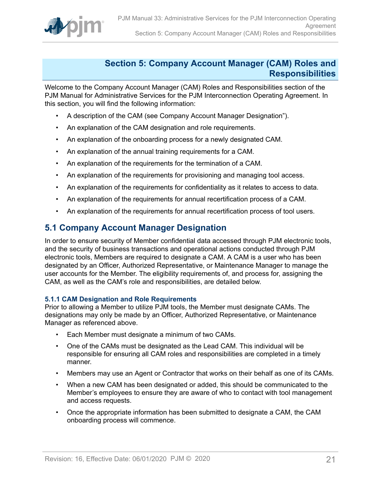

### <span id="page-20-0"></span>**Section 5: Company Account Manager (CAM) Roles and Responsibilities**

Welcome to the Company Account Manager (CAM) Roles and Responsibilities section of the PJM Manual for Administrative Services for the PJM Interconnection Operating Agreement. In this section, you will find the following information:

- A description of the CAM (see Company Account Manager Designation").
- An explanation of the CAM designation and role requirements.
- An explanation of the onboarding process for a newly designated CAM.
- An explanation of the annual training requirements for a CAM.
- An explanation of the requirements for the termination of a CAM.
- An explanation of the requirements for provisioning and managing tool access.
- An explanation of the requirements for confidentiality as it relates to access to data.
- An explanation of the requirements for annual recertification process of a CAM.
- An explanation of the requirements for annual recertification process of tool users.

# <span id="page-20-1"></span>**5.1 Company Account Manager Designation**

In order to ensure security of Member confidential data accessed through PJM electronic tools, and the security of business transactions and operational actions conducted through PJM electronic tools, Members are required to designate a CAM. A CAM is a user who has been designated by an Officer, Authorized Representative, or Maintenance Manager to manage the user accounts for the Member. The eligibility requirements of, and process for, assigning the CAM, as well as the CAM's role and responsibilities, are detailed below.

### <span id="page-20-2"></span>**5.1.1 CAM Designation and Role Requirements**

Prior to allowing a Member to utilize PJM tools, the Member must designate CAMs. The designations may only be made by an Officer, Authorized Representative, or Maintenance Manager as referenced above.

- Each Member must designate a minimum of two CAMs.
- One of the CAMs must be designated as the Lead CAM. This individual will be responsible for ensuring all CAM roles and responsibilities are completed in a timely manner.
- Members may use an Agent or Contractor that works on their behalf as one of its CAMs.
- When a new CAM has been designated or added, this should be communicated to the Member's employees to ensure they are aware of who to contact with tool management and access requests.
- Once the appropriate information has been submitted to designate a CAM, the CAM onboarding process will commence.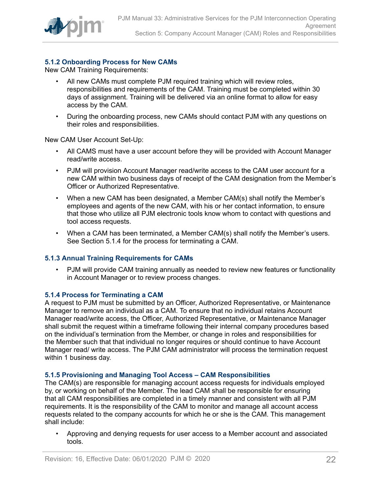

### <span id="page-21-0"></span>**5.1.2 Onboarding Process for New CAMs**

New CAM Training Requirements:

- All new CAMs must complete PJM required training which will review roles, responsibilities and requirements of the CAM. Training must be completed within 30 days of assignment. Training will be delivered via an online format to allow for easy access by the CAM.
- During the onboarding process, new CAMs should contact PJM with any questions on their roles and responsibilities.

New CAM User Account Set-Up:

- All CAMS must have a user account before they will be provided with Account Manager read/write access.
- PJM will provision Account Manager read/write access to the CAM user account for a new CAM within two business days of receipt of the CAM designation from the Member's Officer or Authorized Representative.
- When a new CAM has been designated, a Member CAM(s) shall notify the Member's employees and agents of the new CAM, with his or her contact information, to ensure that those who utilize all PJM electronic tools know whom to contact with questions and tool access requests.
- When a CAM has been terminated, a Member CAM(s) shall notify the Member's users. See Section 5.1.4 for the process for terminating a CAM.

### <span id="page-21-1"></span>**5.1.3 Annual Training Requirements for CAMs**

• PJM will provide CAM training annually as needed to review new features or functionality in Account Manager or to review process changes.

### <span id="page-21-2"></span>**5.1.4 Process for Terminating a CAM**

A request to PJM must be submitted by an Officer, Authorized Representative, or Maintenance Manager to remove an individual as a CAM. To ensure that no individual retains Account Manager read/write access, the Officer, Authorized Representative, or Maintenance Manager shall submit the request within a timeframe following their internal company procedures based on the individual's termination from the Member, or change in roles and responsibilities for the Member such that that individual no longer requires or should continue to have Account Manager read/ write access. The PJM CAM administrator will process the termination request within 1 business day.

### <span id="page-21-3"></span>**5.1.5 Provisioning and Managing Tool Access – CAM Responsibilities**

The CAM(s) are responsible for managing account access requests for individuals employed by, or working on behalf of the Member. The lead CAM shall be responsible for ensuring that all CAM responsibilities are completed in a timely manner and consistent with all PJM requirements. It is the responsibility of the CAM to monitor and manage all account access requests related to the company accounts for which he or she is the CAM. This management shall include:

• Approving and denying requests for user access to a Member account and associated tools.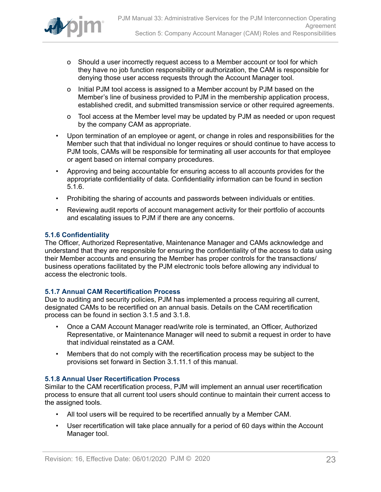

- o Should a user incorrectly request access to a Member account or tool for which they have no job function responsibility or authorization, the CAM is responsible for denying those user access requests through the Account Manager tool.
- o Initial PJM tool access is assigned to a Member account by PJM based on the Member's line of business provided to PJM in the membership application process, established credit, and submitted transmission service or other required agreements.
- o Tool access at the Member level may be updated by PJM as needed or upon request by the company CAM as appropriate.
- Upon termination of an employee or agent, or change in roles and responsibilities for the Member such that that individual no longer requires or should continue to have access to PJM tools, CAMs will be responsible for terminating all user accounts for that employee or agent based on internal company procedures.
- Approving and being accountable for ensuring access to all accounts provides for the appropriate confidentiality of data. Confidentiality information can be found in section 5.1.6.
- Prohibiting the sharing of accounts and passwords between individuals or entities.
- Reviewing audit reports of account management activity for their portfolio of accounts and escalating issues to PJM if there are any concerns.

### <span id="page-22-0"></span>**5.1.6 Confidentiality**

The Officer, Authorized Representative, Maintenance Manager and CAMs acknowledge and understand that they are responsible for ensuring the confidentiality of the access to data using their Member accounts and ensuring the Member has proper controls for the transactions/ business operations facilitated by the PJM electronic tools before allowing any individual to access the electronic tools.

### <span id="page-22-1"></span>**5.1.7 Annual CAM Recertification Process**

Due to auditing and security policies, PJM has implemented a process requiring all current, designated CAMs to be recertified on an annual basis. Details on the CAM recertification process can be found in section 3.1.5 and 3.1.8.

- Once a CAM Account Manager read/write role is terminated, an Officer, Authorized Representative, or Maintenance Manager will need to submit a request in order to have that individual reinstated as a CAM.
- Members that do not comply with the recertification process may be subject to the provisions set forward in Section 3.1.11.1 of this manual.

### <span id="page-22-2"></span>**5.1.8 Annual User Recertification Process**

Similar to the CAM recertification process, PJM will implement an annual user recertification process to ensure that all current tool users should continue to maintain their current access to the assigned tools.

- All tool users will be required to be recertified annually by a Member CAM.
- User recertification will take place annually for a period of 60 days within the Account Manager tool.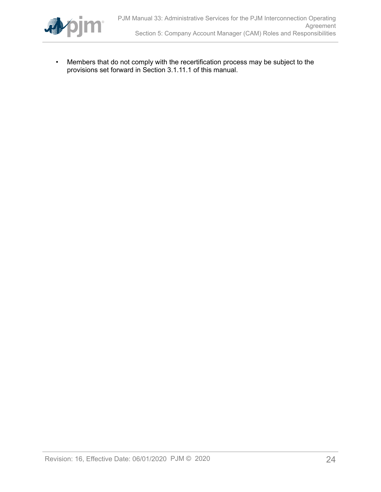

• Members that do not comply with the recertification process may be subject to the provisions set forward in Section 3.1.11.1 of this manual.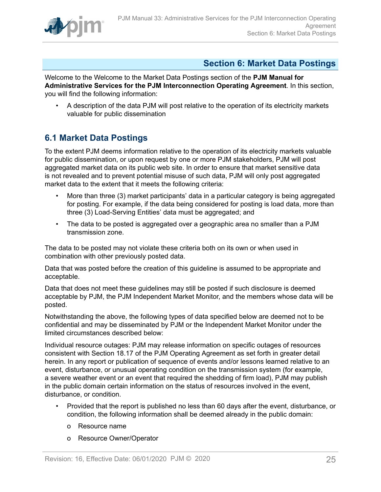

# <span id="page-24-0"></span>**Section 6: Market Data Postings**

Welcome to the Welcome to the Market Data Postings section of the **PJM Manual for Administrative Services for the PJM Interconnection Operating Agreement**. In this section, you will find the following information:

• A description of the data PJM will post relative to the operation of its electricity markets valuable for public dissemination

# <span id="page-24-1"></span>**6.1 Market Data Postings**

To the extent PJM deems information relative to the operation of its electricity markets valuable for public dissemination, or upon request by one or more PJM stakeholders, PJM will post aggregated market data on its public web site. In order to ensure that market sensitive data is not revealed and to prevent potential misuse of such data, PJM will only post aggregated market data to the extent that it meets the following criteria:

- More than three (3) market participants' data in a particular category is being aggregated for posting. For example, if the data being considered for posting is load data, more than three (3) Load-Serving Entities' data must be aggregated; and
- The data to be posted is aggregated over a geographic area no smaller than a PJM transmission zone.

The data to be posted may not violate these criteria both on its own or when used in combination with other previously posted data.

Data that was posted before the creation of this guideline is assumed to be appropriate and acceptable.

Data that does not meet these guidelines may still be posted if such disclosure is deemed acceptable by PJM, the PJM Independent Market Monitor, and the members whose data will be posted.

Notwithstanding the above, the following types of data specified below are deemed not to be confidential and may be disseminated by PJM or the Independent Market Monitor under the limited circumstances described below:

Individual resource outages: PJM may release information on specific outages of resources consistent with Section 18.17 of the PJM Operating Agreement as set forth in greater detail herein. In any report or publication of sequence of events and/or lessons learned relative to an event, disturbance, or unusual operating condition on the transmission system (for example, a severe weather event or an event that required the shedding of firm load), PJM may publish in the public domain certain information on the status of resources involved in the event, disturbance, or condition.

- Provided that the report is published no less than 60 days after the event, disturbance, or condition, the following information shall be deemed already in the public domain:
	- o Resource name
	- o Resource Owner/Operator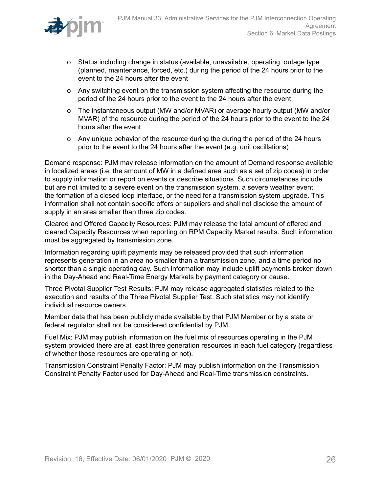

- o Status including change in status (available, unavailable, operating, outage type (planned, maintenance, forced, etc.) during the period of the 24 hours prior to the event to the 24 hours after the event
- o Any switching event on the transmission system affecting the resource during the period of the 24 hours prior to the event to the 24 hours after the event
- o The instantaneous output (MW and/or MVAR) or average hourly output (MW and/or MVAR) of the resource during the period of the 24 hours prior to the event to the 24 hours after the event
- o Any unique behavior of the resource during the during the period of the 24 hours prior to the event to the 24 hours after the event (e.g. unit oscillations)

Demand response: PJM may release information on the amount of Demand response available in localized areas (i.e. the amount of MW in a defined area such as a set of zip codes) in order to supply information or report on events or describe situations. Such circumstances include but are not limited to a severe event on the transmission system, a severe weather event, the formation of a closed loop interface, or the need for a transmission system upgrade. This information shall not contain specific offers or suppliers and shall not disclose the amount of supply in an area smaller than three zip codes.

Cleared and Offered Capacity Resources: PJM may release the total amount of offered and cleared Capacity Resources when reporting on RPM Capacity Market results. Such information must be aggregated by transmission zone.

Information regarding uplift payments may be released provided that such information represents generation in an area no smaller than a transmission zone, and a time period no shorter than a single operating day. Such information may include uplift payments broken down in the Day-Ahead and Real-Time Energy Markets by payment category or cause.

Three Pivotal Supplier Test Results: PJM may release aggregated statistics related to the execution and results of the Three Pivotal Supplier Test. Such statistics may not identify individual resource owners.

Member data that has been publicly made available by that PJM Member or by a state or federal regulator shall not be considered confidential by PJM

Fuel Mix: PJM may publish information on the fuel mix of resources operating in the PJM system provided there are at least three generation resources in each fuel category (regardless of whether those resources are operating or not).

Transmission Constraint Penalty Factor: PJM may publish information on the Transmission Constraint Penalty Factor used for Day-Ahead and Real-Time transmission constraints.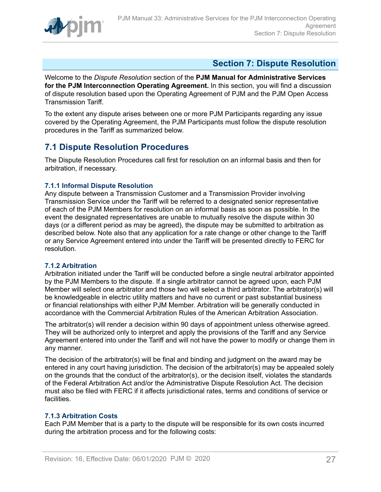

# <span id="page-26-0"></span>**Section 7: Dispute Resolution**

Welcome to the *Dispute Resolution* section of the **PJM Manual for Administrative Services for the PJM Interconnection Operating Agreement.** In this section, you will find a discussion of dispute resolution based upon the Operating Agreement of PJM and the PJM Open Access Transmission Tariff.

To the extent any dispute arises between one or more PJM Participants regarding any issue covered by the Operating Agreement, the PJM Participants must follow the dispute resolution procedures in the Tariff as summarized below.

# <span id="page-26-1"></span>**7.1 Dispute Resolution Procedures**

The Dispute Resolution Procedures call first for resolution on an informal basis and then for arbitration, if necessary.

### <span id="page-26-2"></span>**7.1.1 Informal Dispute Resolution**

Any dispute between a Transmission Customer and a Transmission Provider involving Transmission Service under the Tariff will be referred to a designated senior representative of each of the PJM Members for resolution on an informal basis as soon as possible. In the event the designated representatives are unable to mutually resolve the dispute within 30 days (or a different period as may be agreed), the dispute may be submitted to arbitration as described below. Note also that any application for a rate change or other change to the Tariff or any Service Agreement entered into under the Tariff will be presented directly to FERC for resolution.

### <span id="page-26-3"></span>**7.1.2 Arbitration**

Arbitration initiated under the Tariff will be conducted before a single neutral arbitrator appointed by the PJM Members to the dispute. If a single arbitrator cannot be agreed upon, each PJM Member will select one arbitrator and those two will select a third arbitrator. The arbitrator(s) will be knowledgeable in electric utility matters and have no current or past substantial business or financial relationships with either PJM Member. Arbitration will be generally conducted in accordance with the Commercial Arbitration Rules of the American Arbitration Association.

The arbitrator(s) will render a decision within 90 days of appointment unless otherwise agreed. They will be authorized only to interpret and apply the provisions of the Tariff and any Service Agreement entered into under the Tariff and will not have the power to modify or change them in any manner.

The decision of the arbitrator(s) will be final and binding and judgment on the award may be entered in any court having jurisdiction. The decision of the arbitrator(s) may be appealed solely on the grounds that the conduct of the arbitrator(s), or the decision itself, violates the standards of the Federal Arbitration Act and/or the Administrative Dispute Resolution Act. The decision must also be filed with FERC if it affects jurisdictional rates, terms and conditions of service or facilities.

### <span id="page-26-4"></span>**7.1.3 Arbitration Costs**

Each PJM Member that is a party to the dispute will be responsible for its own costs incurred during the arbitration process and for the following costs: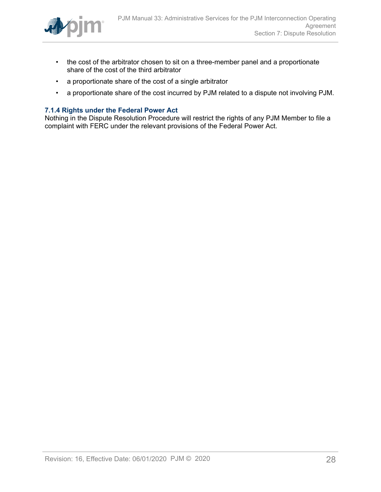

- the cost of the arbitrator chosen to sit on a three-member panel and a proportionate share of the cost of the third arbitrator
- a proportionate share of the cost of a single arbitrator
- a proportionate share of the cost incurred by PJM related to a dispute not involving PJM.

### <span id="page-27-0"></span>**7.1.4 Rights under the Federal Power Act**

Nothing in the Dispute Resolution Procedure will restrict the rights of any PJM Member to file a complaint with FERC under the relevant provisions of the Federal Power Act.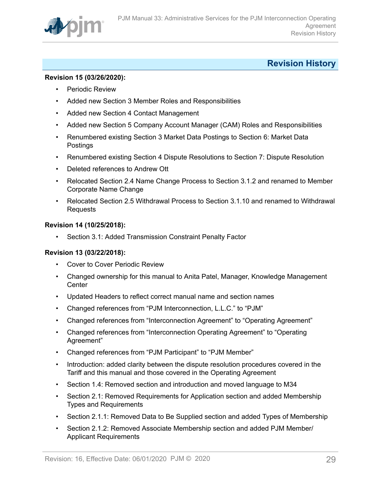

# <span id="page-28-0"></span>**Revision History**

### **Revision 15 (03/26/2020):**

- Periodic Review
- Added new Section 3 Member Roles and Responsibilities
- Added new Section 4 Contact Management
- Added new Section 5 Company Account Manager (CAM) Roles and Responsibilities
- Renumbered existing Section 3 Market Data Postings to Section 6: Market Data Postings
- Renumbered existing Section 4 Dispute Resolutions to Section 7: Dispute Resolution
- Deleted references to Andrew Ott
- Relocated Section 2.4 Name Change Process to Section 3.1.2 and renamed to Member Corporate Name Change
- Relocated Section 2.5 Withdrawal Process to Section 3.1.10 and renamed to Withdrawal Requests

### **Revision 14 (10/25/2018):**

• Section 3.1: Added Transmission Constraint Penalty Factor

### **Revision 13 (03/22/2018):**

- Cover to Cover Periodic Review
- Changed ownership for this manual to Anita Patel, Manager, Knowledge Management **Center**
- Updated Headers to reflect correct manual name and section names
- Changed references from "PJM Interconnection, L.L.C." to "PJM"
- Changed references from "Interconnection Agreement" to "Operating Agreement"
- Changed references from "Interconnection Operating Agreement" to "Operating Agreement"
- Changed references from "PJM Participant" to "PJM Member"
- Introduction: added clarity between the dispute resolution procedures covered in the Tariff and this manual and those covered in the Operating Agreement
- Section 1.4: Removed section and introduction and moved language to M34
- Section 2.1: Removed Requirements for Application section and added Membership Types and Requirements
- Section 2.1.1: Removed Data to Be Supplied section and added Types of Membership
- Section 2.1.2: Removed Associate Membership section and added PJM Member/ Applicant Requirements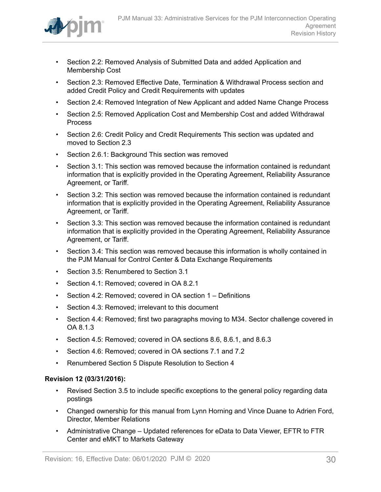

- Section 2.2: Removed Analysis of Submitted Data and added Application and Membership Cost
- Section 2.3: Removed Effective Date, Termination & Withdrawal Process section and added Credit Policy and Credit Requirements with updates
- Section 2.4: Removed Integration of New Applicant and added Name Change Process
- Section 2.5: Removed Application Cost and Membership Cost and added Withdrawal **Process**
- Section 2.6: Credit Policy and Credit Requirements This section was updated and moved to Section 2.3
- Section 2.6.1: Background This section was removed
- Section 3.1: This section was removed because the information contained is redundant information that is explicitly provided in the Operating Agreement, Reliability Assurance Agreement, or Tariff.
- Section 3.2: This section was removed because the information contained is redundant information that is explicitly provided in the Operating Agreement, Reliability Assurance Agreement, or Tariff.
- Section 3.3: This section was removed because the information contained is redundant information that is explicitly provided in the Operating Agreement, Reliability Assurance Agreement, or Tariff.
- Section 3.4: This section was removed because this information is wholly contained in the PJM Manual for Control Center & Data Exchange Requirements
- Section 3.5: Renumbered to Section 3.1
- Section 4.1: Removed; covered in OA 8.2.1
- Section 4.2: Removed; covered in OA section 1 Definitions
- Section 4.3: Removed; irrelevant to this document
- Section 4.4: Removed; first two paragraphs moving to M34. Sector challenge covered in OA 8.1.3
- Section 4.5: Removed; covered in OA sections 8.6, 8.6.1, and 8.6.3
- Section 4.6: Removed; covered in OA sections 7.1 and 7.2
- Renumbered Section 5 Dispute Resolution to Section 4

### **Revision 12 (03/31/2016):**

- Revised Section 3.5 to include specific exceptions to the general policy regarding data postings
- Changed ownership for this manual from Lynn Horning and Vince Duane to Adrien Ford, Director, Member Relations
- Administrative Change Updated references for eData to Data Viewer, EFTR to FTR Center and eMKT to Markets Gateway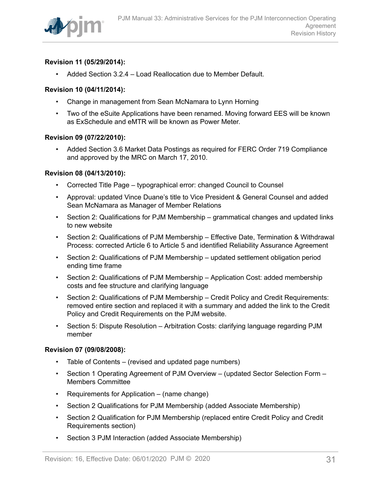

### **Revision 11 (05/29/2014):**

• Added Section 3.2.4 – Load Reallocation due to Member Default.

### **Revision 10 (04/11/2014):**

- Change in management from Sean McNamara to Lynn Horning
- Two of the eSuite Applications have been renamed. Moving forward EES will be known as ExSchedule and eMTR will be known as Power Meter.

### **Revision 09 (07/22/2010):**

• Added Section 3.6 Market Data Postings as required for FERC Order 719 Compliance and approved by the MRC on March 17, 2010.

### **Revision 08 (04/13/2010):**

- Corrected Title Page typographical error: changed Council to Counsel
- Approval: updated Vince Duane's title to Vice President & General Counsel and added Sean McNamara as Manager of Member Relations
- Section 2: Qualifications for PJM Membership grammatical changes and updated links to new website
- Section 2: Qualifications of PJM Membership Effective Date, Termination & Withdrawal Process: corrected Article 6 to Article 5 and identified Reliability Assurance Agreement
- Section 2: Qualifications of PJM Membership updated settlement obligation period ending time frame
- Section 2: Qualifications of PJM Membership Application Cost: added membership costs and fee structure and clarifying language
- Section 2: Qualifications of PJM Membership Credit Policy and Credit Requirements: removed entire section and replaced it with a summary and added the link to the Credit Policy and Credit Requirements on the PJM website.
- Section 5: Dispute Resolution Arbitration Costs: clarifying language regarding PJM member

### **Revision 07 (09/08/2008):**

- Table of Contents (revised and updated page numbers)
- Section 1 Operating Agreement of PJM Overview (updated Sector Selection Form Members Committee
- Requirements for Application (name change)
- Section 2 Qualifications for PJM Membership (added Associate Membership)
- Section 2 Qualification for PJM Membership (replaced entire Credit Policy and Credit Requirements section)
- Section 3 PJM Interaction (added Associate Membership)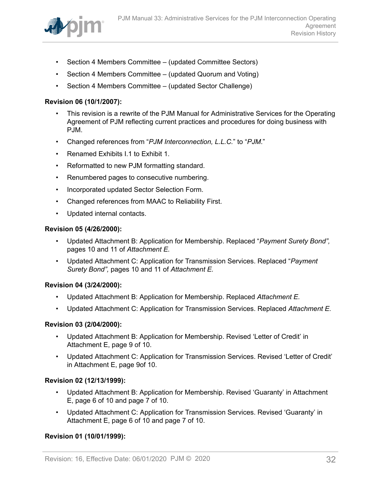

- Section 4 Members Committee (updated Committee Sectors)
- Section 4 Members Committee (updated Quorum and Voting)
- Section 4 Members Committee (updated Sector Challenge)

### **Revision 06 (10/1/2007):**

- This revision is a rewrite of the PJM Manual for Administrative Services for the Operating Agreement of PJM reflecting current practices and procedures for doing business with PJM.
- Changed references from "*PJM Interconnection, L.L.C.*" to "*PJM*."
- Renamed Exhibits I.1 to Exhibit 1.
- Reformatted to new PJM formatting standard.
- Renumbered pages to consecutive numbering.
- Incorporated updated Sector Selection Form.
- Changed references from MAAC to Reliability First.
- Updated internal contacts.

### **Revision 05 (4/26/2000):**

- Updated Attachment B: Application for Membership. Replaced "*Payment Surety Bond",* pages 10 and 11 of *Attachment E.*
- Updated Attachment C: Application for Transmission Services. Replaced "*Payment Surety Bond",* pages 10 and 11 of *Attachment E.*

### **Revision 04 (3/24/2000):**

- Updated Attachment B: Application for Membership. Replaced *Attachment E.*
- Updated Attachment C: Application for Transmission Services. Replaced *Attachment E.*

### **Revision 03 (2/04/2000):**

- Updated Attachment B: Application for Membership. Revised 'Letter of Credit' in Attachment E, page 9 of 10.
- Updated Attachment C: Application for Transmission Services. Revised 'Letter of Credit' in Attachment E, page 9of 10.

### **Revision 02 (12/13/1999):**

- Updated Attachment B: Application for Membership. Revised 'Guaranty' in Attachment E, page 6 of 10 and page 7 of 10.
- Updated Attachment C: Application for Transmission Services. Revised 'Guaranty' in Attachment E, page 6 of 10 and page 7 of 10.

### **Revision 01 (10/01/1999):**